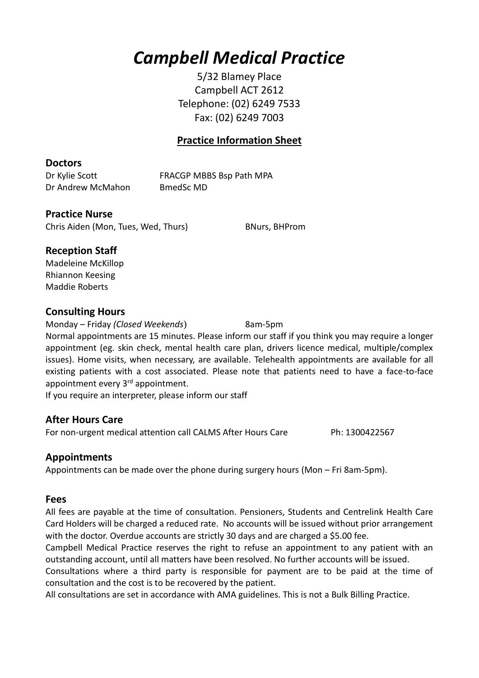# *Campbell Medical Practice*

5/32 Blamey Place Campbell ACT 2612 Telephone: (02) 6249 7533 Fax: (02) 6249 7003

## **Practice Information Sheet**

#### **Doctors**

Dr Andrew McMahon BmedSc MD

Dr Kylie Scott FRACGP MBBS Bsp Path MPA

**Practice Nurse** Chris Aiden (Mon, Tues, Wed, Thurs) BNurs, BHProm

## **Reception Staff**

Madeleine McKillop Rhiannon Keesing Maddie Roberts

#### **Consulting Hours**

Monday – Friday *(Closed Weekends*) 8am-5pm Normal appointments are 15 minutes. Please inform our staff if you think you may require a longer appointment (eg. skin check, mental health care plan, drivers licence medical, multiple/complex issues). Home visits, when necessary, are available. Telehealth appointments are available for all existing patients with a cost associated. Please note that patients need to have a face-to-face appointment every 3<sup>rd</sup> appointment.

If you require an interpreter, please inform our staff

# **After Hours Care**

For non-urgent medical attention call CALMS After Hours Care Ph: 1300422567

# **Appointments**

Appointments can be made over the phone during surgery hours (Mon – Fri 8am-5pm).

# **Fees**

All fees are payable at the time of consultation. Pensioners, Students and Centrelink Health Care Card Holders will be charged a reduced rate. No accounts will be issued without prior arrangement with the doctor. Overdue accounts are strictly 30 days and are charged a \$5.00 fee.

Campbell Medical Practice reserves the right to refuse an appointment to any patient with an outstanding account, until all matters have been resolved. No further accounts will be issued.

Consultations where a third party is responsible for payment are to be paid at the time of consultation and the cost is to be recovered by the patient.

All consultations are set in accordance with AMA guidelines. This is not a Bulk Billing Practice.